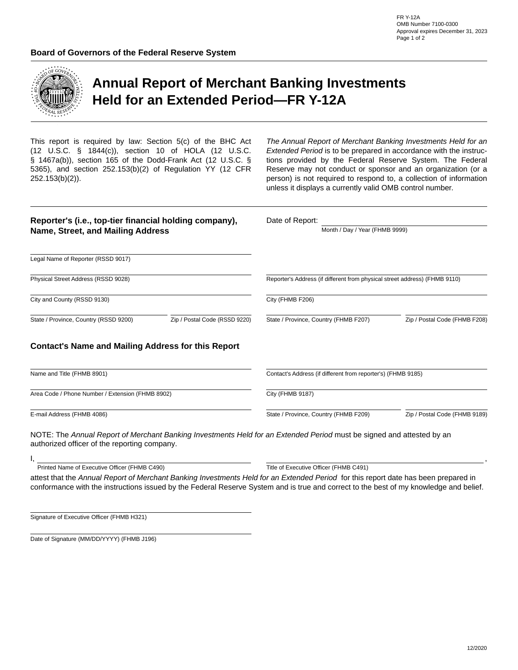

## **Annual Report of Merchant Banking Investments Held for an Extended Period—FR Y-12A**

This report is required by law: Section 5(c) of the BHC Act (12 U.S.C. § 1844(c)), section 10 of HOLA (12 U.S.C. § 1467a(b)), section 165 of the Dodd-Frank Act (12 U.S.C. § 5365), and section 252.153(b)(2) of Regulation YY (12 CFR 252.153(b)(2)).

*The Annual Report of Merchant Banking Investments Held for an Extended Period* is to be prepared in accordance with the instructions provided by the Federal Reserve System. The Federal Reserve may not conduct or sponsor and an organization (or a person) is not required to respond to, a collection of information unless it displays a currently valid OMB control number.

| Reporter's (i.e., top-tier financial holding company),<br>Name, Street, and Mailing Address                           |                               | Date of Report:                                                            | Month / Day / Year (FHMB 9999) |                               |  |
|-----------------------------------------------------------------------------------------------------------------------|-------------------------------|----------------------------------------------------------------------------|--------------------------------|-------------------------------|--|
| Legal Name of Reporter (RSSD 9017)                                                                                    |                               |                                                                            |                                |                               |  |
| Physical Street Address (RSSD 9028)                                                                                   |                               | Reporter's Address (if different from physical street address) (FHMB 9110) |                                |                               |  |
| City and County (RSSD 9130)                                                                                           |                               | City (FHMB F206)                                                           |                                |                               |  |
| State / Province, Country (RSSD 9200)                                                                                 | Zip / Postal Code (RSSD 9220) | State / Province, Country (FHMB F207)                                      |                                | Zip / Postal Code (FHMB F208) |  |
| <b>Contact's Name and Mailing Address for this Report</b>                                                             |                               |                                                                            |                                |                               |  |
| Name and Title (FHMB 8901)                                                                                            |                               | Contact's Address (if different from reporter's) (FHMB 9185)               |                                |                               |  |
| Area Code / Phone Number / Extension (FHMB 8902)                                                                      | City (FHMB 9187)              |                                                                            |                                |                               |  |
| E-mail Address (FHMB 4086)                                                                                            |                               | State / Province, Country (FHMB F209)                                      | Zip / Postal Code (FHMB 9189)  |                               |  |
| NOTE: The Annual Report of Merchant Banking Investments Held for an Extended Period must be signed and attested by an |                               |                                                                            |                                |                               |  |

authorized officer of the reporting company.

Printed Name of Executive Officer (FHMB C490) Title of Executive Officer (FHMB C491)

attest that the *Annual Report of Merchant Banking Investments Held for an Extended Period* for this report date has been prepared in conformance with the instructions issued by the Federal Reserve System and is true and correct to the best of my knowledge and belief.

Signature of Executive Officer (FHMB H321)

I,

Date of Signature (MM/DD/YYYY) (FHMB J196)

,